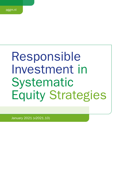# Responsible Investment in Systematic Equity Strategies

January 2021 (v2021.10)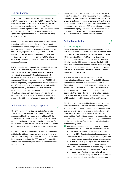## 1. Introduction

As a long-term investor, PGGM Vermogensbeheer B.V. (PGGM Investments, hereinafter PGGM) is committed to investing responsibly. On behalf of its clients, PGGM manages several public equity mandates. Together, these mandates form a significant part of the total assets under management of PGGM. One of these mandates is the systematic equity strategies (SES) mandate, driven by multifactor models.

PGGM manages SES investments in order to contribute towards a stable pension for its clients' participants. Environmental, social, and governance (ESG) factors can have a material impact on the financial performance of the portfolio, especially in the longer term. As such, integrating ESG issues into investment analysis and decision-making processes is part of PGGM's fiduciary duty, either by reducing investment risks or by increasing (expected) returns.

PGGM recognises that through the companies it invests in, it has a significant impact on the environment and broader society as a whole, and that it has the opportunity to address ESG-related issues directly with the executive management of a broad variety of companies. This guideline addresses how PGGM SES invests responsibly. The guideline is a further refinement of [PGGM's Responsible Investment Framework](https://www.pggm.nl/media/f4zoxray/responsible-investment-implementation-framework_pggm.pdf) and its implementation guidelines and the relevant fund prospectus and ancillary documentation. In addition, the obligations arising from compliance with legislation and regulations apply. The guideline covers all investments made by the SES team, effective since January 2021.

# 2. Investment strategy & approach

The primary goal of the SES mandate is to generate a satisfactory risk-adjusted financial return over the prospective life of the investment. In addition, PGGM SES conducts research on ESG factors to assess their potential to directly add value to the investment portfolio and to consider their potential to improve the ESG profile of the strategies, on top of their financial characteristics.

By having in place a transparent responsible investment guideline for SES, as further outlined in this document, and by actively taking into account ESG-related performance in investment decisions, the SES team offers a positive contribution that is best practice and in line with clients' stated objectives.

PGGM complies fully with obligations arising from (ESG) legislation, regulations and stewardship responsibilities. Some of the applicable (ESG) legislation and regulations, or relevant standards, codes of conduct or (inter)national initiatives which have an impact on SES investments are discussed below. Minimum ESG standards and practices are enhanced rapidly and, hence, PGGM monitors these developments closely. For more detailed information please refer to the [PGGM Investments website.](https://www.pggm.nl/en/our-services/transparency-reports-and-policy-documents/)

## 3. Implementation

#### 3.a. ESG integration

PGGM defines ESG integration as systematically taking into account those ESG factors that have a material effect on investment risk and return. Across its entire portfolio PGGM uses the [Materiality Map of the Sustainable](https://www.sasb.org/standards-overview/materiality-map/)  [Accounting Standards Board](https://www.sasb.org/standards-overview/materiality-map/) (SASB) as the framework to identify material ESG issues per sector. Similarly, SES takes SASB Materiality Map into account when analysing ESG risks and opportunities in the investment process. ESG risks are defined as risks for the financial returns from material ESG factors.

The SES team explores the possibilities for ESG integration in multifactor models. Potential ESG factors are assessed based on their relationships with other factors in the model and their potential to add value to the investment process. Depending on the outcome of such evaluations, ESG factors are considered for addition to the model. Having good and reliable data is challenging, but key to this effort. The team makes use of ESG data from MSCI, Sustainalytics and Trucost.

All 26 "sustainability-related business issues" from the SASB Materiality Map are relevant and potentially material. The PGGM SES portfolio comprises many companies that operate in a diverse set of countries and sectors, which gives it exposure to a broad variety of ESG risks and opportunities. The SES team invests in diverse sectors so all ESG factors could potentially have a negative influence on the value of the portfolio. Particular attention is given to the following risks:

Transitional and physical risks deriving from climate change which are considered a sub-set of ESG risks and are therefore covered by the ESG integration process of SES. Changes in regulation, particularly in the field of GHG emissions and/or pollution (transition risk), would impact companies, although some sectors more than others. Depending on political action, the likelihood and magnitude is rather unpredictable. The same holds for changes in taxation (higher carbon prices in exchange for e.g., lower income taxes or green subsidies). Physical climate risks will expose companies in flood- or draught-prone areas, as well as companies depending on suppliers in those areas.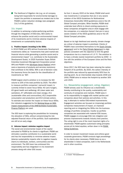The likelihood of litigation risk (e.g. an oil company being held responsible for environmental damage) to impact the portfolio is assessed as modest due to the PGGM's carbon reduction strategy (see paragraph 3.b.2 of this guideline).

#### 3.b. Impact

In addition to achieving a better-performing portfolio through the integration of ESG-risks, SES seeks to enhance the positive social and/or environmental impact of its investments and to minimize adverse impacts of investments on sustainability factors.

#### 1. Positive impact: investing in the SDGs

In 2016 PGGM and APG defined Sustainable Development Investments (SDIs) as "investments that yield market-rate financial returns while generating a positive social and/or environmental impact" (i.e. contribute to the Sustainable Development Goals). In 2020 Australian Super, British Colombia Investment Management Corporation joined APG and PGGM in the [SDI-Asset Owner Platform](https://www.sdi-aop.org/) which owns a taxonomy of products and services (solutions) that contribute to the SDGs. With a set of decision rules the taxonomy forms the basis for the classification of investments as 'SDI'.

PGGM largest client's ambition is to increase the SDI volume to 20% of the total portfolio by 2025. The effort to measure portfolio companies' real-world impact, is currently limited to seven focus SDGs: #2 (zero hunger), #3 (good health and wellbeing), #6 (clean water and sanitation), #7 (affordable and clean energy), #11 (sustainable cities and communities), #12 (responsible consumption and production) and #13 (climate action). To estimate and monitor the impact on these focus SDGs, the indicators suggested by the [Working Group on SDG](https://www.dnb.nl/en/green-economy/sustainable-finance-platform/sdg-impact-assessment-working-group/)  [impact measurement of the DNB-facilitated Sustainable](https://www.dnb.nl/en/green-economy/sustainable-finance-platform/sdg-impact-assessment-working-group/)  [Finance Platform](https://www.dnb.nl/en/green-economy/sustainable-finance-platform/sdg-impact-assessment-working-group/) are used.

The SES team is exploring the possibilities for increasing the allocation of SDIs, without compromising the riskadjusted financial return of the portfolio. Such explorations are still at an early stage.

#### 2. Adverse impact: minimise negative impact

The social and environmental impact of the capital entrusted to PGGM by its clients is significant. PGGM can stimulate a positive contribution to a sustainable world and has the responsibility to minimise adverse impact. Adverse sustainability impacts refer to negative impacts (harm) to individuals, workers, communities and the environment. The SES team has embraced this responsibility and has integrated it in its investment process along with other ESG issues.

As from 1 January 2022 at the latest, PGGM shall avoid new investments in companies that are in very severe violation of the OECD Guidelines for Multinational Enterprises (hereinafter OECD guidelines) and/or the UN Global Compact principles. When feasible, PGGM shall undertake best efforts to divest existing exposures to these companies all-together and/or shall engage with the companies, or a selection thereof, that are in (very) severe violation of the OECD guidelines and/or the UN Global Compact principles.

Based on its high likelihood and severity, climate change as a driver of adverse impact is prioritized. Clients of PGGM's have committed themselves to the [Dutch Climate](https://www.klimaatakkoord.nl/documenten/publicaties/2019/06/28/national-climate-agreement-the-netherlands)   $agreement<sup>1</sup>$  $agreement<sup>1</sup>$  and to the [Paris Climate Agreement](https://unfccc.int/sites/default/files/english_paris_agreement.pdf) to align policies consistent with the objective to limit the global temperature rise to a maximum of 1.5 °C. The ambition is to have a climate neutral investment portfolio by 2050 - in line with the ambition of the European Union and the Paris objectives.

Since 2017, the SES team has been reducing the carbon footprint of its portfolio. By 2020, the carbon intensity of the portfolio was reduced by approximately 50% from its starting point. As an intermediate step towards 2030 and 2050, PGGM aims to reduce the footprint by another 30% until 2025.

#### 3.c. Stewardship (engagement, voting, litigation)

PGGM actively uses its influence as a shareholder, thereby contributing to the quality, sustainability and continuity of companies and markets. PGGM sees it as its responsibility to engage with market parties and companies about their policies and activities. In this way, it attempts to realise ESG-related improvements. Engagement activities are focused on (improving) portfolio companies measurement of impact, on improved reporting and on integrating the SDGs into the business strategy of portfolio companies. Insofar as portfolio companies are associated with material ESG issues, PGGM engages to encourage ESG risk mitigation and process improvements towards industry best practice. The voting right is one of the most important rights of a shareholder. PGGM applies customized voting principles across all its listed equities, written down in its [PGGM](https://www.pggm.nl/media/5xxhbgnv/pggm-global-voting-guidelines_2020.pdf)  [Voting Guidelines](https://www.pggm.nl/media/5xxhbgnv/pggm-global-voting-guidelines_2020.pdf).

In order to recover investment losses and enforce good corporate governance, PGGM conducts legal proceedings for its clients when necessary. PGGM does so as a shareholder in listed companies, both in the Netherlands and in other countries.

1 In Dutch "Klimaatakkoord"